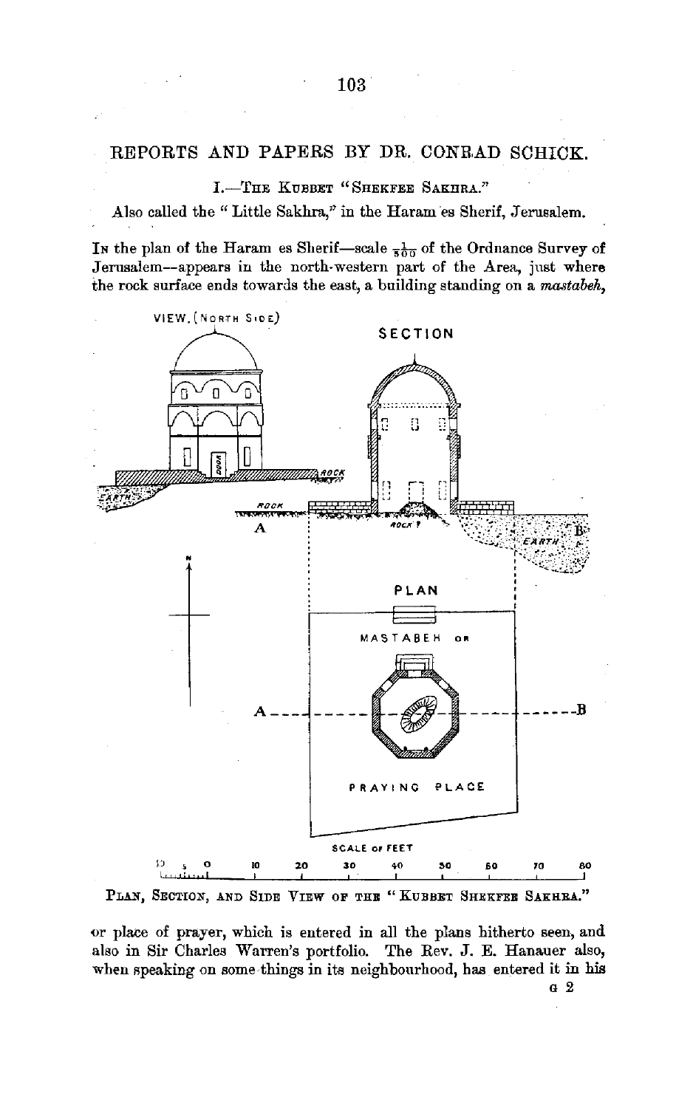I.-THE KUBBET "SHEKFEE SAKHRA."

Also called the " Little Sakhra," in the Haram es Sherif, Jerusalem.

In the plan of the Haram es Sherif-scale  $\frac{1}{500}$  of the Ordnance Survey of Jerusalem-appears in the north-western part of the Area, just where the rock surface ends towards the east, a building standing on a *mastabeh,* 



PLAN, SECTION, AND SIDE VIEW OF THE "KUBBET SHEKFEE SAKHRA."

or place of prayer, which is entered in all the plans hitherto seen, and also in Sir Charles Warren's portfolio. The Rev. J. E. Hanauer also, when speaking on some things in its neighbourhood, has entered it in his

G 2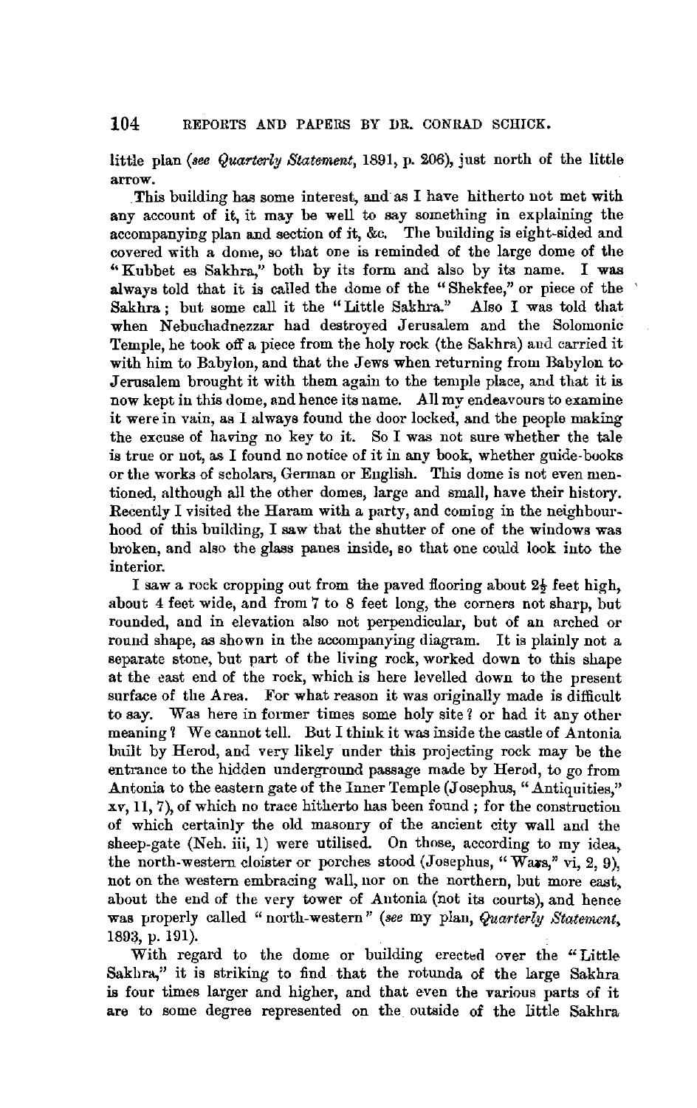little plan *(see Quarterly Statement,* 1891, p. 206), just north of the little arrow.

This building has some interest, and as I have hitherto not met with any account of it, it may be well to say something in explaining the accompanying plan and section of it, &c. The building is eight-sided and covered with a dome, so that one is reminded of the large dome of the '' Kubbet es Sakhra," both by its form and also by its name. I was always told that it is called the dome of the "Shekfee," or piece of the Sakhra ; but some call it the "Little Sakhra." Also I was told that when Nebuchadnezzar had destroyed Jerusalem and the Solomonic Temple, he took off a piece from tbe holy rock (the Sakhra) aud carried it with him to Babylon, and that the Jews when returning from Babylon to Jerusalem brought it with them again to the temple place, and that it is now kept in this dome, and hence its name. All my endeavours to examine it were in vain, as I always found the door locked, and the people making the excuse of having no key to it. So I was not sure whether the tale is true or not, as I found no notice of it in any book, whether guide-books or the works of scholars, German or English. This dome is not even mentioned, although all the other domes, large and small, have their history. Recently I visited the Haram with a party, and coming in the neighbourhood of this building, I saw that the shutter of one of the windows was broken, and also the glass panes inside, so that one could look into the interior.

I saw a rock cropping out from the paved flooring about 2½ feet high, about 4 feet wide, and from 7 to 8 feet long, the corners not sharp, but rounded, and in elevation also not perpendicular, but of an arched or round shape, as shown in the accompanying diagram. It is plainly not a separate stone, but part of the living rock, worked down to this shape at the east end of the rock, which is here levelled down to the present surface of the Area. For what reason it was originally made is difficult to say. Was here in former times some holy site? or had it any other meaning 1 We cannot tell. But I think it was inside the castle of Antonia built by Herod, and very likely under this projecting rock may be the entrance to the hidden underground passage made by Herod, to go from Antonia to the eastern gate of the Inner Temple (Josephus, "Antiquities,"  $xy, 11, 7$ , of which no trace hitherto has been found; for the construction of which certainly the old masonry of the ancient city wall and the sheep-gate (Neh. iii, 1) were utilised. On those, according to my idea, the north-western cloister or porches stood (Josephus, "Wars," vi, 2, 9), not on the western embracing wall, nor on the northern, hut more east, about the end of the very tower of Antonia (not its courts), and hence was properly called "north-western" *(see my plan, Quarterly Statement*, 1893, p. 191).

With regard to the dome or building erected over the "Little Sakhra," it is striking to find that the rotunda of the large Sakhra is four times larger and higher, and that even the various parts of it are to some degree represented on the outside of the little Sakhra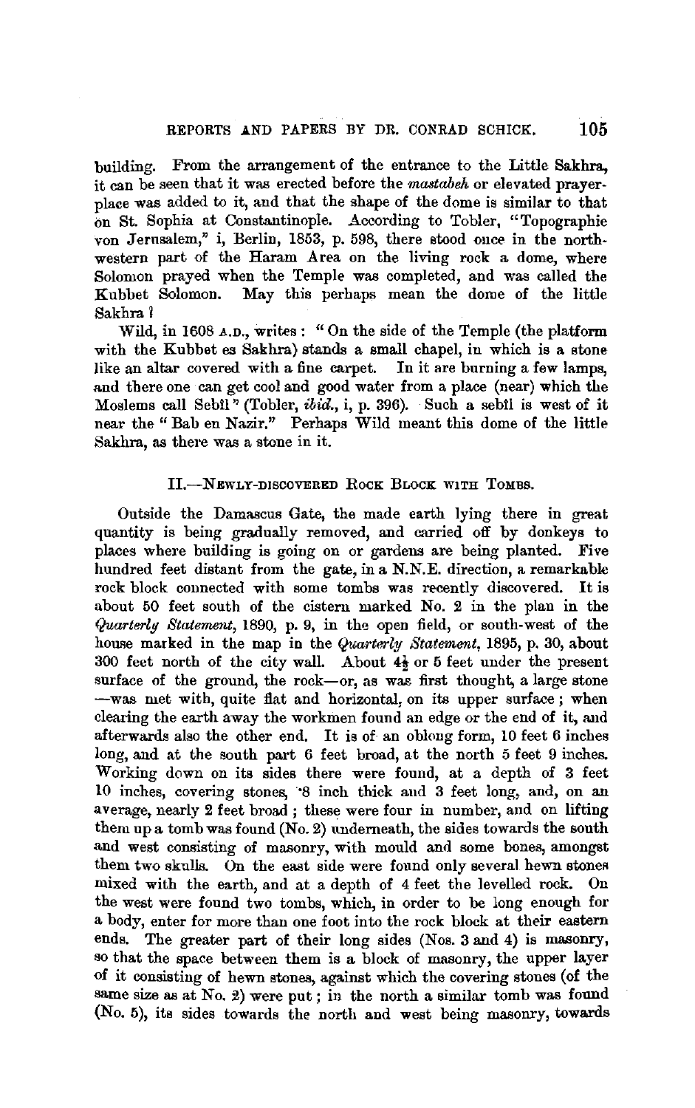building. From the arrangement of the entrance to the Little Sakhra, it can be seen that it was erected before the *mastabeh* or elevated prayerplace was added to it, and that the shape of the dome is similar to that on St. Sophia at Constantinople. According to Tobler, "Topographie von Jernsalem," i, Berlin, 1853, p. 598, there stood once in the northwestern part of the Haram Area on the living rock a dome, where Solomon prayed when the Temple was completed, and was called the Kubbet Solomon. May this perhaps mean the dome of the little Sakhra 1

Wild, in 1608 A.n., writes: "On the side of the Temple (the platform with the Kubbet es Sakhra) stands a small chapel, in which is a stone like an altar covered with a fine carpet. In it are burning a few lamps, and there one can get cool and good water from a place (near) which the Moslems call Sebil" (Tobler, *ibid.*, i, p. 396). Such a sebil is west of it near the" Bab en Nazir." Perhaps Wild meant this dome of the little Sakhra, as there was a stone in it.

### 11.-NEWLY-DISCOVERED RocK BLOCK WITH TOMBS.

Outside the Damascus Gate, the made earth lying there in great quantity is being gradually removed, and carried off by donkeys to places where building is going on or gardens are being planted. Five hundred feet distant from the gate, in a N.N.E. direction, a remarkable rock block connected with some tombs was recently discovered. It is about 50 feet south of the cistern marked No. 2 in the plan in the *Quarterly Statement,* 1890, p. 9, in the open field, or south-west of the house marked in the map in the *Quarterly Statement*, 1895, p. 30, about 300 feet north of the city wall. About  $4\frac{1}{2}$  or 5 feet under the present surface of the ground, the rock-or, as was first thought, a large stone -was met with, quite flat and horizontal, on its upper surface ; when clearing the earth away the workmen found an edge or the end of it, and afterwards also the other end. It is of- an oblong form, 10 feet 6 inches long, and at the south part 6 feet broad, at the north 5 feet 9 inches. Working down on its sides there were found, at a depth of 3 feet 10 inches, covering stones, ·s inch thick aud 3 feet long, and, on an average, nearly 2 feet broad ; these were four in number, and on lifting them up a tomb was found  $(N_0, 2)$  underneath, the sides towards the south and west consisting of masonry, with mould and some bones, amongst them two skulls. On the east side were found only several hewn stones mixed with the earth, and at a depth of 4 feet the levelled rock. On the west were found two tombs, which, in order to be long enough for a body, enter for more than one foot into the rock block at their eastern ends. The greater part of their long sides (Nos. 3 and 4) is masonry, so that the space between them is a block of masonry, the upper layer of it consisting of hewn stones, against which the covering stones (of the same size as at No. 2) were put; in the north a similar tomb was found (No. 5), its sides towards the north and west being masonry, towards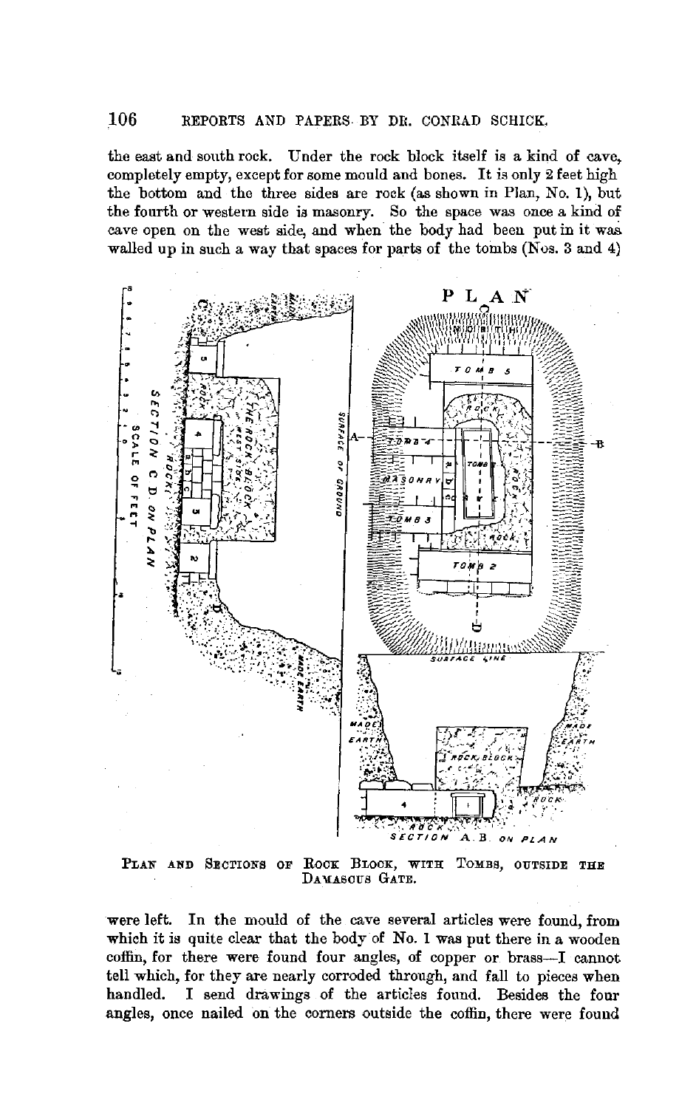the east and south rock. Under the rock block itself is a kind of cave, completely empty, except for some monld and bones. It is only 2 feet high the bottom and the three sides are rock (as shown in Plan, No. 1), but the fourth or western side is masonry. So the space was once a kind of cave open on the west side, and when the body had been put in it was. walled up in such a way that spaces for parts of the tombs (Nos. 3 and 4)



PLAN AND SECTIONS OF ROCK BLOCK, WITH TOMBS, OUTSIDE THE DAMASCUS GATE.

were left. In the mould of the cave several articles were found, from which it is quite clear that the body of No. 1 was put there in a wooden coffin, for there were found four angles, of copper or brass-I cannot tell which, for they are nearly corroded through, and fall to pieces when handled. I send drawings of the articles found. Besides the four angles, once nailed on the corners outside the coffin, there were found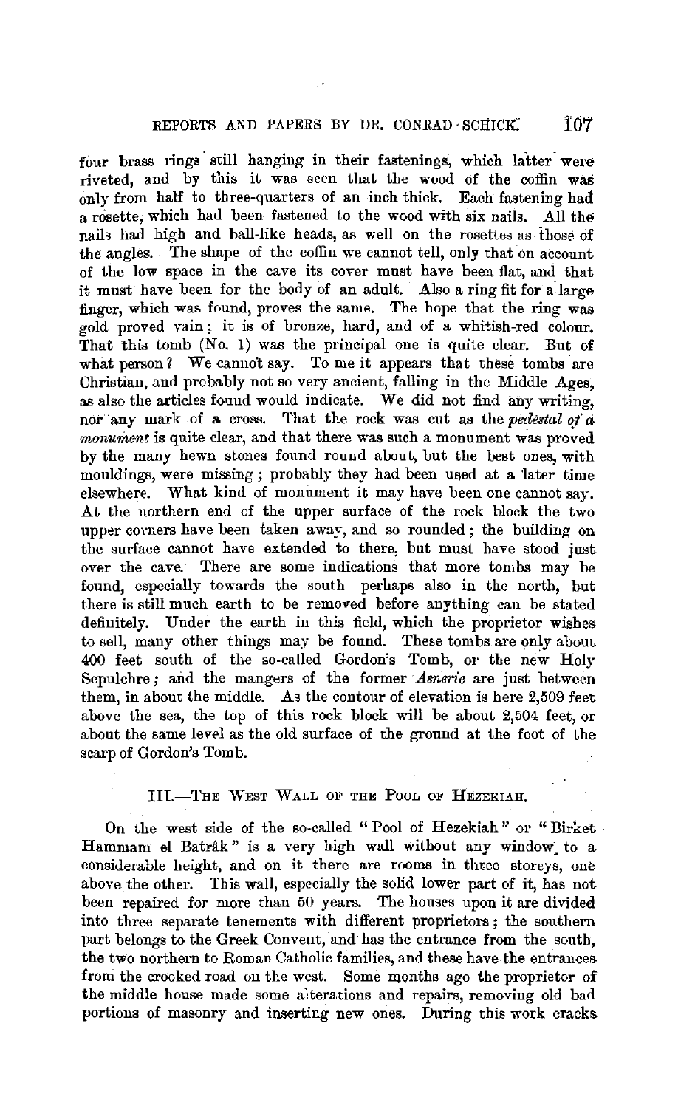four brass rings still hanging in their fastenings, which latter were riveted, and by this it was seen that the wood of the coffin was only from half to three-quarters of an inch thick. Each fastening had a rosette, which had been fastened to the wood with six nails. All the nails had high and ball-like heads, as well on the rosettes as those of the angles. The shape of the coffin we cannot tell, only that on account of the low space in the cave its cover must have been flat, and that it must have been for the body of an adult. Also a ring fit for a large finger, which was found, proves the same. The hope that the ring was gold proved vain; it is of bronze, hard, and of a whitish-red colour. That this tomb (No. 1) was the principal one is quite clear. But of what person? We cannot say. To me it appears that these tombs are Christian, and probably not so very ancient, falling in the Middle Ages, as also the articles found would indicate. We did not find any writing, nor any mark of a cross. That the rock was cut as the *pedestal of* a *monument* is quite clear, and that there was such a monument was proved by the many hewn stones found round about, but the best ones, with mouldings, were missing; probably they had been used at a 'later time elsewhere. What kind of monument it may have been one cannot say. At the northern end of the upper surface of the rock block the two upper corners have been taken away, and so rounded ; the building on the surface cannot have extended to there, but must have stood just over the cave. There are some indications that more tombs may be found, especially towards the south-perhaps also in the north, but there is still much earth to be removed before anything can be stated definitely. Under the earth in this field, which the proprietor wishes to sell, many other things may be found. These tombs are only about 400 feet south of the so-called Gordon's Tomb, or the new Holy Sepulchre; and the mangers of the former *Asnerie* are just between them, in about the middle. As the contour of elevation is here 2,509 feet above the sea, the top of this rock block will be about 2,504 feet, or about the same level as the old surface of the ground at the foot of the scarp of Gordon's Tomb.

## III.-THE WEST WALL OF THE POOL OF HEZEKIAH.

On the west side of the so-called "Pool of Hezekiah" or "Birket • Hammam el Batrâk" is a very high wall without any window to a considerable height, and on it there are rooms in three storeys, one above the other. This wall, especially the solid lower part of it, has not been repaired for more than 50 years. The houses upon it are divided into three separate tenements with different proprietors; the southern part belongs to the Greek Convent, and has the entrance from the south, the two northern to Roman Catholic families, and these have the entrances from the crooked road on the west. Some months ago the proprietor of the middle house made some alterations and repairs, removing old bad portions of masonry and · inserting new ones. During this work cracks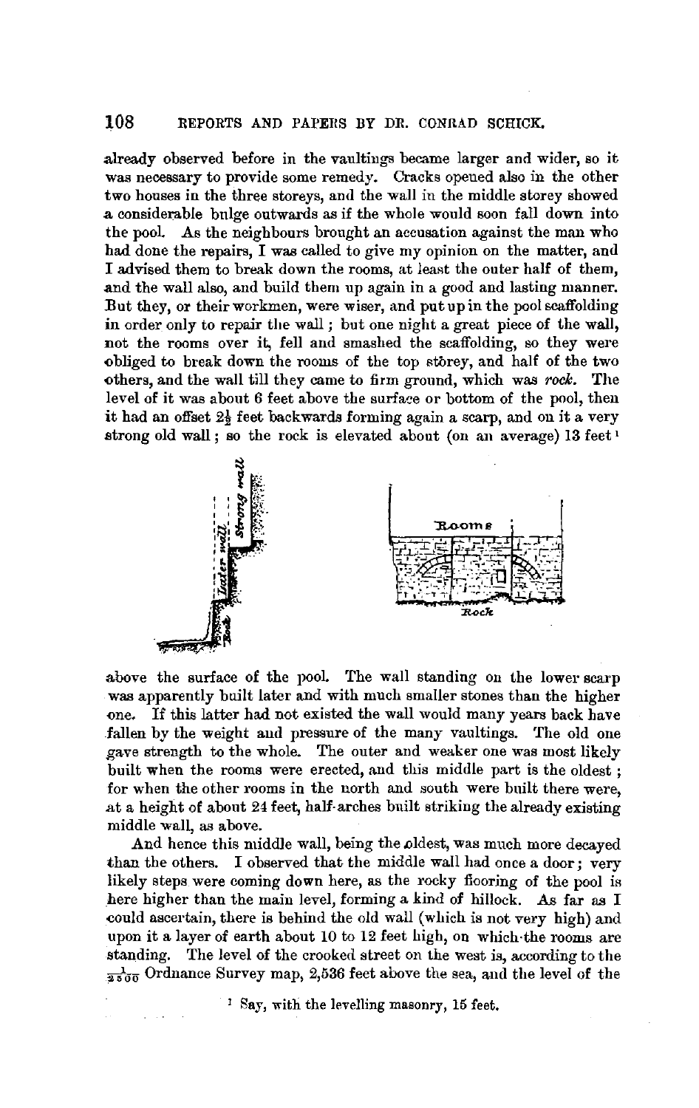already observed before in the vaultings became larger and wider, so it was necessary to provide some remedy. Cracks opened also in the other two houses in the three storeys, and the wall in the middle storey showed **.a** considerable bulge outwards as if the whole would soon fall down into the pool. As the neighbours brought an accusation against the man who had done the repairs, I was called to give my opinion on the matter, and I advised them to break down the rooms, at least the outer half of them, and the wall also, and build them up again in a good and lasting manner. But they, or their workmen, were wiser, and put up in the pool scaffolding in order only to repair the wall ; but one night a great piece of the wall, not the rooms over it, fell and smashed the scaffolding, so they were obliged to break down the rooms of the top storey, and half of the two others, and the wall till they came to firm ground, which was *rock.* The level of it was about 6 feet above the surface or bottom of the pool, then it had an offset  $2\frac{1}{9}$  feet backwards forming again a scarp, and on it a very strong old wall; so the rock is elevated about (on an average) 13 feet 1



above the surface of the pool. The wall standing on the lower scarp was apparently built later and with much smaller stones than the higher one. If this latter had not existed the wall would many years back have fallen by the weight and pressure of the many vaultings. The old one gave strength to the whole. The outer and weaker one was most likely built when the rooms were erected, and this middle part is the oldest ; for when the other rooms in the north and south were built there were, at a height of about 24 feet, half-arches built striking the already existing middle wall, as above.

And hence this middle wall, being the oldest, was much more decayed than the others. I observed that the middle wall had once a door; very likely steps were coming down here, as the rocky flooring of the pool is here higher than the main level, forming a kind of hillock. As far as I could ascertain, there is behind the old wall (which is not very high) and upon it a layer of earth about 10 to 12 feet high, on which-the rooms are standing. The level of the crooked street on the west is, according to the  $\frac{1}{2500}$  Ordnance Survey map, 2,536 feet above the sea, and the level of the

<sup>1</sup> Say, with the levelling masonry, 15 feet.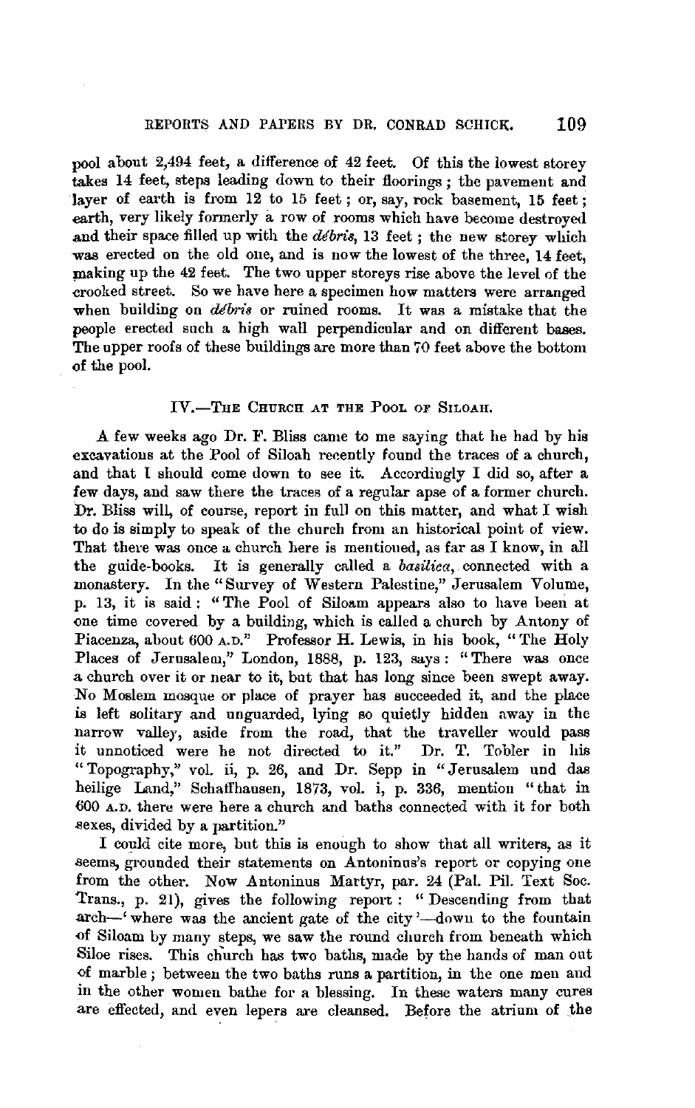pool about 2,494 feet, a difference of 42 feet. Of this the lowest storey takes 14 feet, steps leading down to their floorings; the pavement and layer of earth is from 12 to 15 feet; or, say, rock basement, 15 feet; earth, very likely formerly a row of rooms which have become destroyed and their space filled up with the *debris,* 13 feet; the new storey which was erected on the old one, and is now the lowest of the three, 14 feet, making up the 42 feet. The two upper storeys rise above the level of the -crooked street. So we have here a specimen how matters were arranged when building on *debris* or ruined rooms. It was a mistake that the people erected such a high wall perpendicular and on different bases. The upper roofs of these buildings are more than 70 feet above the bottom of the pool.

### IV.-THE CHURCH AT THE POOL OF SILOAH.

A few weeks ago Dr. F. Bliss came to me saying that he had by his excavations at the Pool of Siloah recently found the traces of a church, and that I should come down to see it. Accordingly I did so, after a few days, and saw there the traces of a regular apse of a former church. Dr. Bliss will, of course, report in full on this matter, and what I wish to do is simply to speak of the church from an historical point of view. That there was once a church here is mentioned, as far as I know, in all the guide-books. It is generally called a *basiliea,.* connected with a monastery. In the "Survey of Western Palestine," Jerusalem Volume, p. 13, it is said : "The Pool of Siloam appears also to have been at one time covered by a building, which is called a church by Antony of Piacenza, about 600 A.D." Professor H. Lewis, in his book, "The Holy Places of Jerusalem," London, 1888, p. 123, says: "There was once a church over it or near to it, but that has long since been swept away. No Moslem mosque or place of prayer has succeeded it, and the place is left solitary and unguarded, lying so quietly hidden away in the narrow valley, aside from the road, that the traveller would pass it unnoticed were he not directed to it." Dr. T. Tobler in his " Topography," *vol.* ii, p. 26, and Dr. Sepp in "Jerusalem und das heilige Land,'' Schaffhausen, 1873, vol. i, p. 336, mention "that in 600 A.D. there were here a church and baths connected with it for both sexes, divided by a partition."

I could cite more, but this is enough to show that all writers, as it seems, grounded their statements on Antoninus's report or copying one from the other. Now Antoninus Martyr, par. 24 (Pal. Pil. Text Soc. Trans., p. 21), gives the following report : " Descending from that arch-' where was the ancient gate of the city'-down to the fountain of Siloam by many steps, we saw the round church from beneath which Siloe rises. This church has two baths, made by the hands of man out of marble ; between the two baths runs a partition, in the one men and in the other women bathe for a blessing. In these waters many cures are effected, and even lepers are cleansed. Before the atrium of the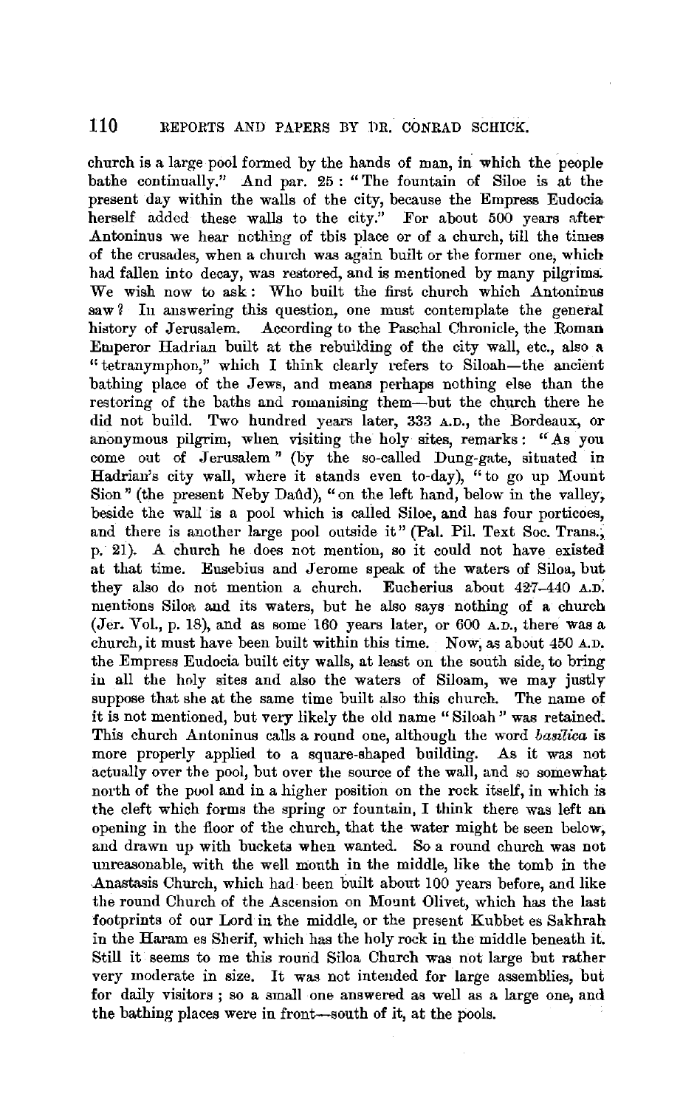church is a large pool formed by the hands of man, in which the people bathe continually." And par. 25: "The fountain of Siloe is at the present day within the walls of the city, because the Empress Eudocia, herself added these walls to the city." For about 500 years after .Antoninus we hear nothing of this place or of a church, till the times of the crusades, when a church was again built or the former one, **which**  had fallen into decay, was restored, and is mentioned by many pilgrims. We wish now to ask: Who built the first church which Antoninus saw ? In answering this question, one must contemplate the general history of Jerusalem. According to the Paschal Chronicle, the **Roman**  Emperor Hadrian built at the rebuilding of the city wall, etc., also **a**  "tetranymphon,'' which I think clearly refers to Siloah-the ancient bathing place of the Jews, and means perhaps nothing else than the restoring of the baths and romanising them-but the church there he did not build. Two hundred years later, 333 A.D., the Bordeaux, or anonymous pilgrim, when visiting the holy sites, remarks: "As you come out of Jerusalem " (by the so-called Dung-gate, situated in Hadrian's city wall, where it stands even to-day), "to go up Mount Sion" (the present Neby Daûd), "on the left hand, below in the valley, beside the wall is a pool which is called Siloe, and has four porticoes, and there is another large pool outside it" (Pal. Pil. Text Soc. Trans., p. 21). A church he does not mention, so it could not have existed at that time. Eusebius and Jerome speak of the waters of Siloa, but they also do not mention a church. Eucherius about 427-440 A.D: mentions Siloa and its waters, but he also says nothing of a church (Jer. Vol., p. 18), and as some 160 years later, or 600 A.D., there was a church, it must have been built within this time. Now, as about 450 A.D. the Empress Eudocia built city walls, at least on the south side, to bring in all the holy sites and also the waters of Siloam, we may justly suppose that she at the same time built also this church. The name of it is not mentioned, but very likely the old name " Siloah" was retained. This church .Antoninus calls a round one, although the word *basilica* is more properly applied to a square-shaped building. As it was not actually over the pool, but over the source of the wall, and so somewhat north of the puol and in a higher position on the rock itself, in which is the cleft which forms the spring or fountain, I think there was left an opening in the floor of the church, that the water might be seen below, and drawn up with buckets when wanted. So a round church was not unreasonable, with the well mouth in the middle, like the tomb in the .Anastasis Church, which had been built about 100 years before, and like the round Church of the Ascension on Mount Olivet, which has the last footprints of our Lord in the middle, or the present Kubbet es Sakhrah in the Haram es Sherif, which has the holy rock in the middle beneath it. Still it seems to me this round Siloa Church was not large but rather very moderate in size. It was not intended for large assemblies, but for daily visitors ; so a small one answered as well as a large *one,* and the bathing places were in front-south of it, at the pools.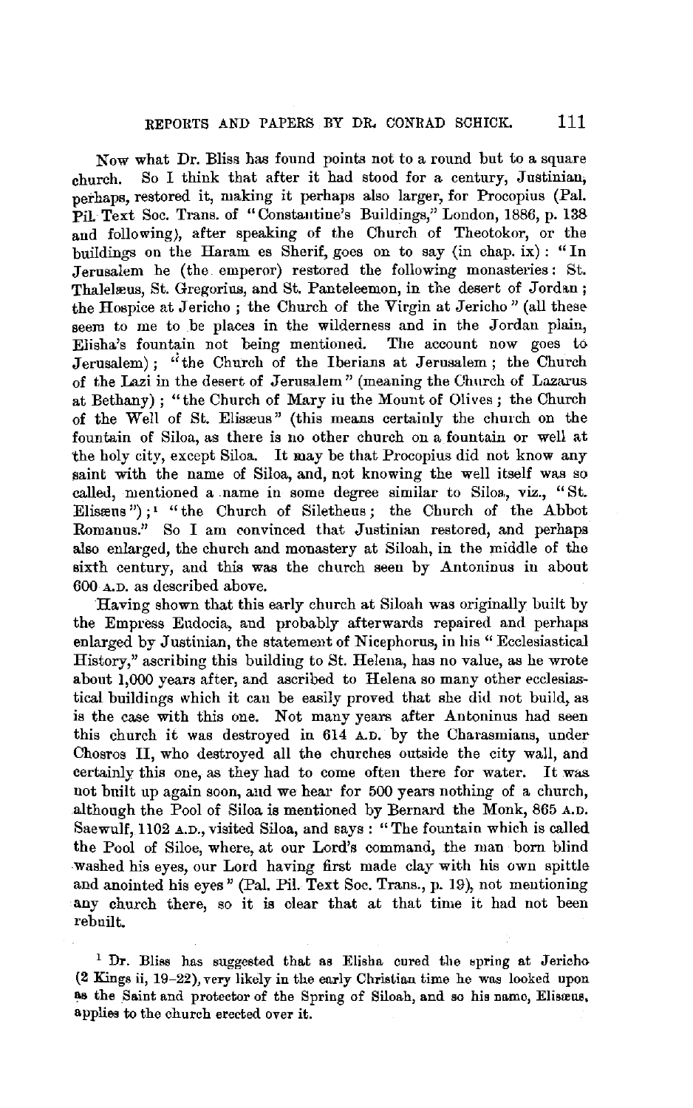Now what Dr. Bliss has found points not to a round but to a square church. So I think that after it had stood for a century, Justinian, perhaps, restored it, making it perhaps also larger, for Procopius (Pal. Pil. Text Soc. Trans. of "Constantine's Buildings," London, 1886, p. 138 and following), after speaking of the Church of Theotokor, or the buildings on the Haram es Sherif, goes on to say (in chap. ix): "In Jerusalem he (the emperor) restored the following monasteries: St. Thalelæus, St. Gregorius, and St. Panteleemon, in the desert of Jordan; the Hospice at Jericho ; the Church of the Virgin at Jericho" (all theseseem to me to be places in the wilderness and in the Jordan plain, Elisha's fountain not being mentioned. The account now goes to Jerusalem) ; "the Church of the Iberians at Jerusalem; the Church of the Lazi in the desert of Jerusalem" (meaning the Church of Lazarus at Bethany); "the Church of Mary in the Mount of Olives; the Church of the Well of St. Elisreus" (this means certainly the church on the fountain of Siloa, as there is no other church on a fountain or well at the holy city, except Siloa. It may be that Procopius did not know any aaint with the name of Siloa, and, not knowing the well itself was so called, mentioned a name in some degree similar to Siloa, viz., "St. Elissens");<sup>1</sup> "the Church of Siletheus; the Church of the Abbot Romanns." So I am convinced that Justinian restored, and perhaps also enlarged, the church and monastery at Siloah, in the middle of the sixth century, and this was the church seen by Antoninus in about 600 A.D. as described above.

Having shown that this early church at Siloah was originally built by the Empress Eudocia, and probably afterwards repaired and perhaps enlarged by Justinian, the statement of Nicephorus, in his "Ecclesiastical History," ascribing this building to St. Helena, has no value, as he wrote about 1,000 years after, and ascribed to Helena so many other ecclesiastical buildings which it can be easily proved that she did not build, as is the case with this one. Not many years after Antoninus had seen this church it was destroyed in 614 A.D. by the Charasmians, under Chosros II, who destroyed all the churches outside the city wall, and certainly this one, as they had to come often there for water. It was not built up again soon, and we hear for 500 years nothing of a church, although the Pool of Siloa is mentioned by Bernard the Monk, 865 A.D. Saewulf, 1102 A.D., visited Siloa, and says : "The fountain which is called the Pool of Siloe, where, at our Lord's command, the man born blind washed his eyes, our Lord having first made clay with his own spittle and anointed his eyes" (Pal. Pi!. Text Soc. Trans., p. 19), not mentioning any church there, so it is clear that at that time it had not been rebuilt.

 $1$  Dr. Bliss has suggested that as Elisha cured the spring at Jericho (2 Kings ii, 19-22), very likely in the early Christian time he was looked upon as the Saint and protector of the Spring of Siloah, and so his name, Elisreus, applies to the church erected over it.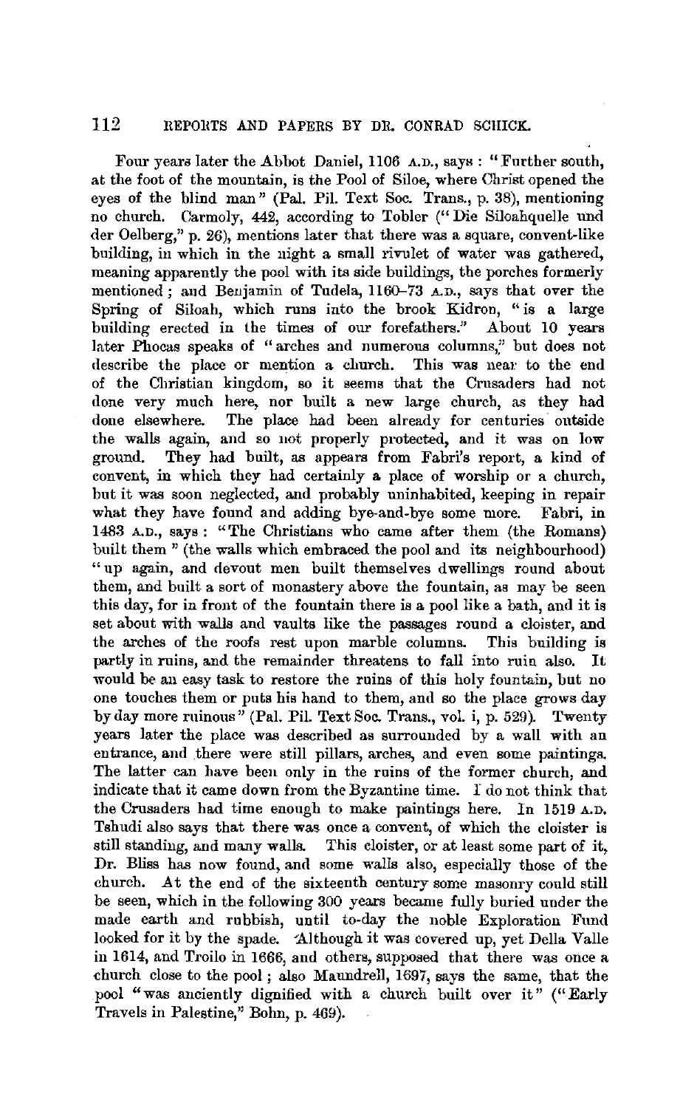Four years later the Abbot Daniel, 1106 A.D., says : "Further south, at the foot of the mountain, is the Pool of Siloe, where Christ opened the eyes of the blind man" (Pal. Pil. Text Soc. Trans., p. 38), mentioning no church. Carmoly, 442, according to Tobler (" Die Siloahquelle nnd der Oelberg," p. 26), mentions later that there was a square, convent-like building, in which in the night a small rivulet of water was gathered, meaning apparently the pool with its side buildings, the porches formerly mentioned; and Benjamin of Tudela, 1160-73 A.D., says that over the Spring of Siloah, which runs into the brook Kidron, "is a large building erected in the times of our forefathers." About 10 years later Phocas speaks of "arches and numerous columns," but does not describe the place or mention a church. This was near to the end of the Christian kingdom, so it seems that the Crusaders had not done very much here, nor built a new large church, as they had done elsewhere. The place had been already for centuries outside the walls again, and so not properly protected, and it was on low ground. They had built, as appears from Fabri's report, a kind of convent, in which they had certainly a place of worship or a church, but it was soon neglected, and probably uninhabited, keeping in repair what they have found and adding bye-and-bye some more. Fabri, in 1483 A.D., says : "The Christians who came after them (the Romans) built them" (the walls which embraced the pool and its neighbourhood) "up again, and devout men built themselves dwellings round about them, and built a sort of monastery above the fountain, as may be seen this day, for in front of the fountain there is a pool like a bath, and it is set about with walls and vaults like the passages round a cloister, and the arches of the roofs rest upon marble columns. This building is partly in ruins, and the remainder threatens to fall into ruin also. It would be an easy task to restore the ruins of this holy fountain, but no one touches them or puts his hand to them, and so the place grows day by day more ruinous" (Pal. Pil. Text Soc. Trans., vol. i, p. 529). Twenty years later the place was described as surrounded by a wall with an entrance, and there were still pillars, arches, and even some paintings. The latter can have been only in the ruins of the former church, and indicate that it came down from the Byzantine time. I do not think that the Crusaders had time enough to make paintings here. In 1519 A.D. Tshudi also says that there was once a convent, of which the cloister is still standing, and many walls. This cloister, or at least some part of it, Dr. Bliss has now found, and some walls also, especially those of the church. At the end of the sixteenth century some masonry could still be seen, which in the following 300 years became fully buried under the made earth and rubbish, until to-day the noble Exploration Fund looked for it by the spade. Although it was covered up, yet Della Valle in 1614, and Troilo in 1666, and others, supposed that there was once a ehurch close to the pool ; also Manndrell, 1697, says the same, that the pool "was anciently dignified with a church built over it" (" Early Travels in Palestine," Bohn, p. 469).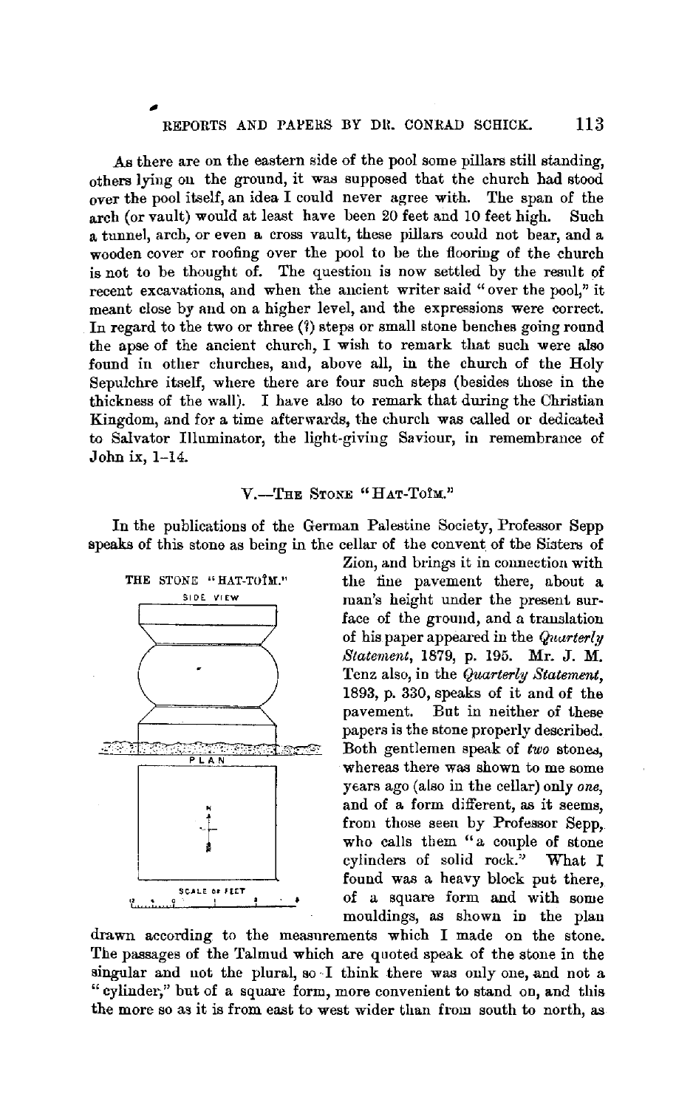.As there are on the eastern side of the pool some pillars still standing, others lying on the ground, it was supposed that the church had stood over the pool itself, an idea I could never agree with. The span of the arch (or vault) would at least have been 20 feet and 10 feet high. Such a tunnel, arch, or even a cross vault, these pillars could not bear, and a wooden cover or roofing over the pool to be the flooring of the church is not to be thought of. The question is now settled by the result of recent excavations, and when the ancient writer said "over the pool," it meant close by and on a higher level, and the expressions were correct. In regard to the two or three  $(3)$  steps or small stone benches going round the apse of the ancient church, I wish to remark that such were also found in other churches, and, above all, in the church of the Holy Sepulchre itself, where there are four such steps (besides those in the thickness of the wall). I have also to remark that during the Christian Kingdom, and for a time afterwards, the church was called or dedicated to Salvator llluminator, the light-giving Saviour, in remembrance of John ix, 1-14.

### V.-THE STONE "HAT-TOIM."

In the publications of the German Palestine Society, Professor Sepp speaks of this stone as being in the cellar of the convent of the Sisters of



Zion, and brings it in connection with the fine pavement there, about a man's height under the present surface of the ground, and a translation of his paper appeared in the *Quarterly Statement,* 1879, p. 195. Mr. J. M. Tenz also, in the *Quarterly Statement,*  1893, p. 330, speaks of it and of the pavement. But in neither of these papers is the stone properly described. Both gentlemen speak of *two* stones. whereas there was shown to me some ytars ago (also in the cellar) only *one,*  and of a form different, as it seems, from those seen by Professor Sepp, who calls them "a couple of stone cylinders of solid rock." What I found was a heavy block put there, of a square form and with some mouldings, as shown in the plan

drawn according to the measurements which I made on the stone. The passages of the Talmud which are quoted speak of the stone in the singular and not the plural, so I think there was only one, and not a "cylinder," but of a square form, more convenient to stand on, and this the more so as it is from east to west wider than from south to north, as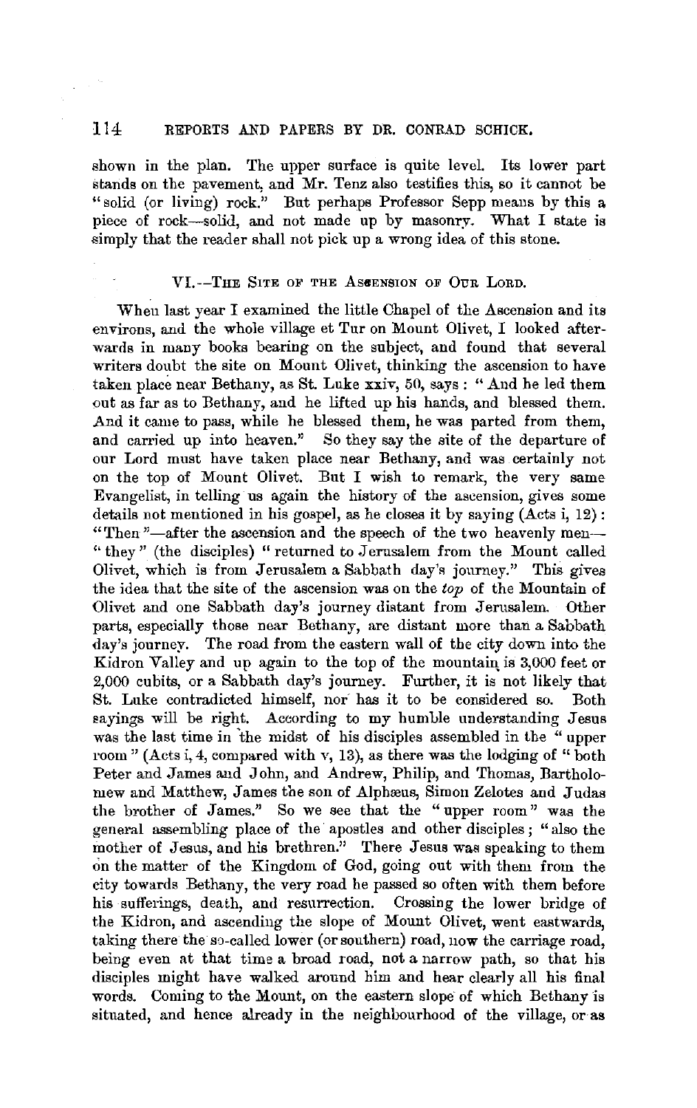shown in the plan. The upper surface is quite level. Its lower part stands on the pavement, and Mr. Tenz also testifies this, so it cannot be "solid (or living) rock." But perhaps Professor Sepp means by this a piece of rock-solid, and not made up by masonry. What I state is simply that the reader shall not pick up a wrong idea of this stone.

#### VI.--THE SITE OF THE ASCENSION OF OUR LORD.

When last year I examined the little Chapel of the Ascension and its environs, and the whole village et Tur on Mount Olivet, I looked afterwards in many books bearing on the subject, and found that several writers doubt the site on Mount Olivet, thinking the ascension to have taken place near Bethany, as St. Luke xxiv, 50, says: "And he led them out as far as to Bethany, and he lifted up his hands, and blessed them. And it came to pass, while he blessed them, he was parted from them, and carried up into heaven." So they say the site of the departure of our Lord must have taken place near Bethany, and was certainly not on the top of Mount Olivet. But I wish to remark, the very same Evangelist, in telling us again the history of the ascension, gives some details not mentioned in his gospel, as he closes it by saying (Acts i, 12) : "Then"-after the ascension and the speech of the two heavenly men-"they" (the disciples) "returned to Jerusalem from the Mount called Olivet, which is from Jerusalem a Sabbath day's journey." This gives the idea that the site of the ascension was on the *top* of the Mountain of Olivet and one Sabbath day's journey distant from Jerusalem. Other parts, especially those near Bethany, are distant more than a Sabbath day's journey. The road from the eastern wall of the city down into the Kidron Valley and up again to the top of the mountain is 3,000 feet or 2,000 cubits, or a Sabbath day's journey. Further, it is not likely that St. Luke contradicted himself, nor has it to be considered so. Both sayings will be right. According to my humble understanding Jesus was the last time in the midst of his disciples assembled in the "upper room" (Acts i, 4, compared with v, 13), as there was the lodging of "both" Peter and James and John, and Andrew, Philip, and Thomas, Bartholomew and Matthew, James the son of Alphaeus, Simon Zelotes and Judas the brother of James." So we see that the " upper room " was the general assembling place of the apostles and other disciples; "also the mother of Jesus, and his brethren." There Jesus was speaking to them on the matter of the Kingdom of God, going out with them from the city towards Bethany, the very road he passed so often with them before his sufferings, death, and resurrection. Crossing the lower bridge of the Kidron, and ascending the slope of Mount Olivet, went eastwards, taking there the so-called lower (or southern) road, now the carriage road, being even at that time a broad road, not a narrow path, so that his disciples might have walked around him and hear clearly all his final words. Coming to the Mount, on the eastern slope of which Bethany is situated, and hence already in the neighbourhood of the village, or as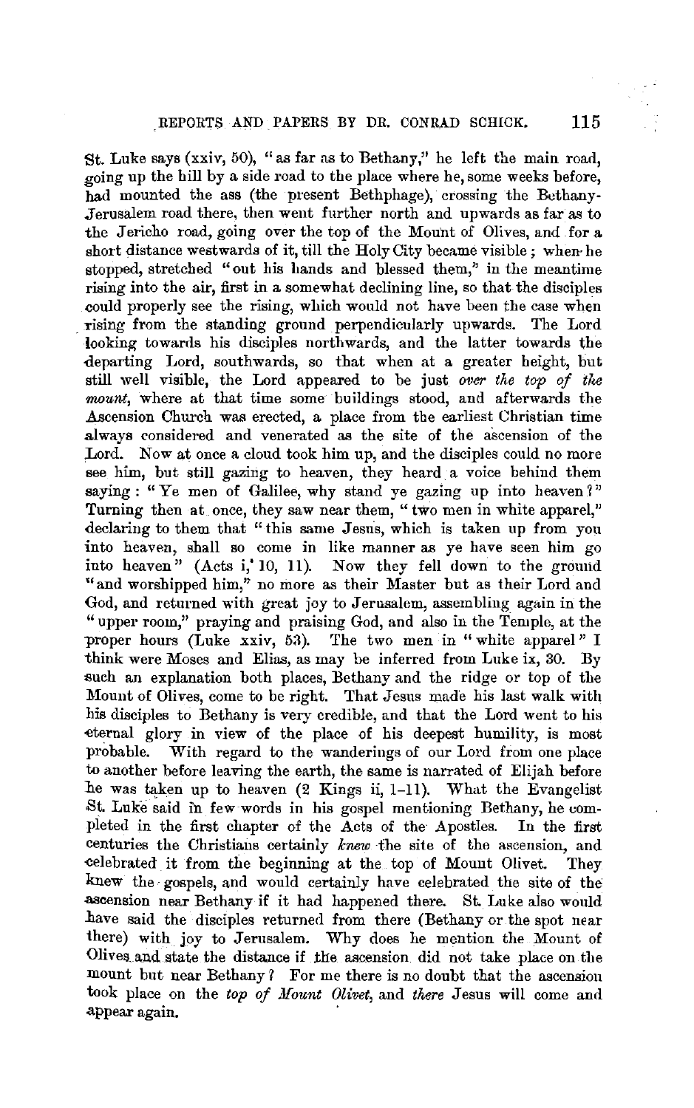St. Luke says (xxiv, 50), "as far as to Bethany," he left the main road, going up the hill by a side road to the place where he, some weeks before, had mounted the ass (the present Bethphage), crossing the Bethany-Jerusalem road there, then went further north and upwards as far as to the Jericho road, going over the top of the Mount of Olives, and for a short distance westwards of it, till the Holy City became visible; when· he stopped, stretched "out his hands and blessed them," in the meantime rising into the air, first in a somewhat declining line, so that the disciples could properly see the rising, which would not have been the case when yising from the standing ground perpendicularly upwards. The Lord looking towards his disciples northwards, and the latter towards the departing Lord, southwards, so that when at a greater height, but still well visible, the Lord appeared to be just *over the top of tke mount,* where at that time some buildings stood, and afterwards the Ascension Church was erected, a place from the earliest Christian time always considered and venerated as the site of the ascension of the Lord. Now at once a cloud took him up, and the disciples could no more see him, but still gazing to heaven, they heard a voice behind them saying : "Ye men of Galilee, why stand ve gazing up into heaven?" Turning then at once, they saw near them, "two men in white apparel," declaring to them that "this same Jesus, which is taken up from you into heaven, shall so come in like manner as ye have seen him go into heaven" (Acts i,' 10, 11). Now they fell down to the ground "and worshipped him," no more as their Master but as their Lord and God, and returned with great joy to Jerusalem, assembling again in the "upper room," praying and praising God, and also in the Temple, at the proper hours (Luke xxiv, 53). The two men in "white apparel" I think were Moses and Elias, as may be inferred from Luke ix, 30. By such an explanation both places, Bethany and the ridge or top of the Mount of Olives, come to be right. That Jesus made his last walk with his disciples to Bethany is very credible, and that the Lord went to his ~ternal glory in view of the place of his deepest humility, is most probable. With regard to the wanderings of our Lord from one place to another before leaving the earth, the same is narrated of Elijah before he was taken up to heaven (2 Kings ii, 1-11). What the Evangelist St. Luke said m few words in his gospel mentioning Bethany, he completed in the first chapter of the Acts of the Apostles. In the first centuries the Christians certainly *knew* the site of the ascension, and eelebrated it from the beginning at the top of Mount Olivet. They knew the· gospels, and would certainly have celebrated the site of the .ascension near Bethany if it had happened there. St. Luke also would have said the disciples returned from there (Bethany or the spot near there) with joy to Jerusalem. Why does he mention the Mount of Olives and state the distance if the ascension did not take place on the mount but near Bethany ? For me there is no doubt that the ascension took place on the *top of Mount Olivet,* and *there* Jesus will come and appear again.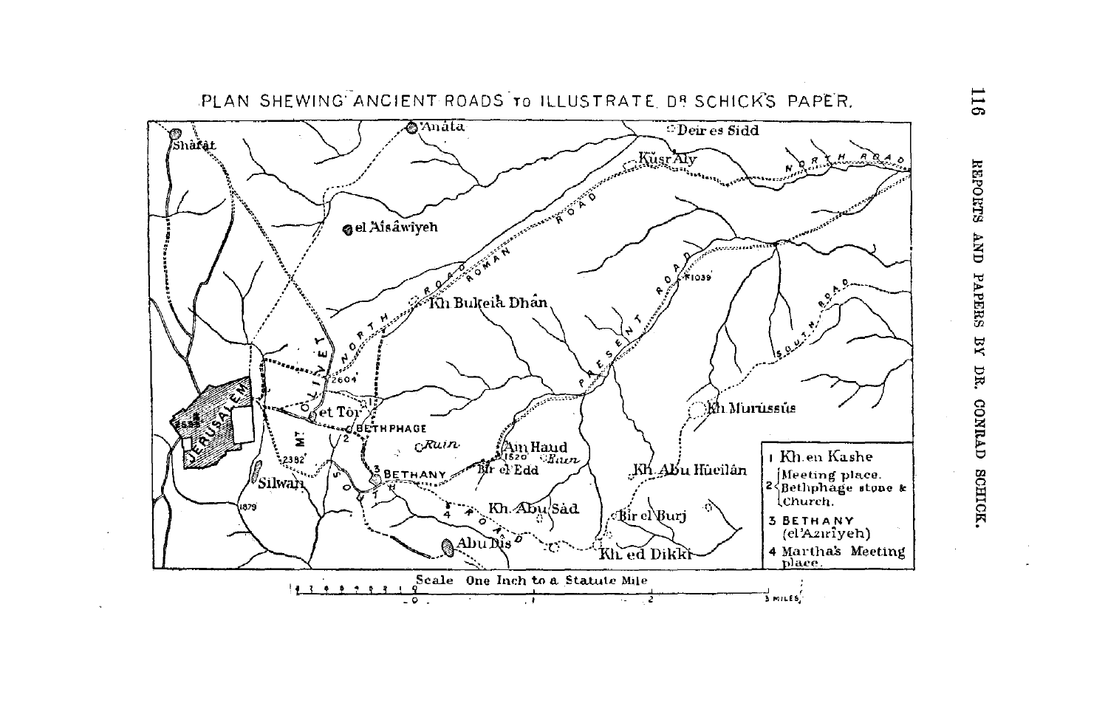

 $116$ REPOETS AND PAPERS BY DR. CONRAD SCHLC ~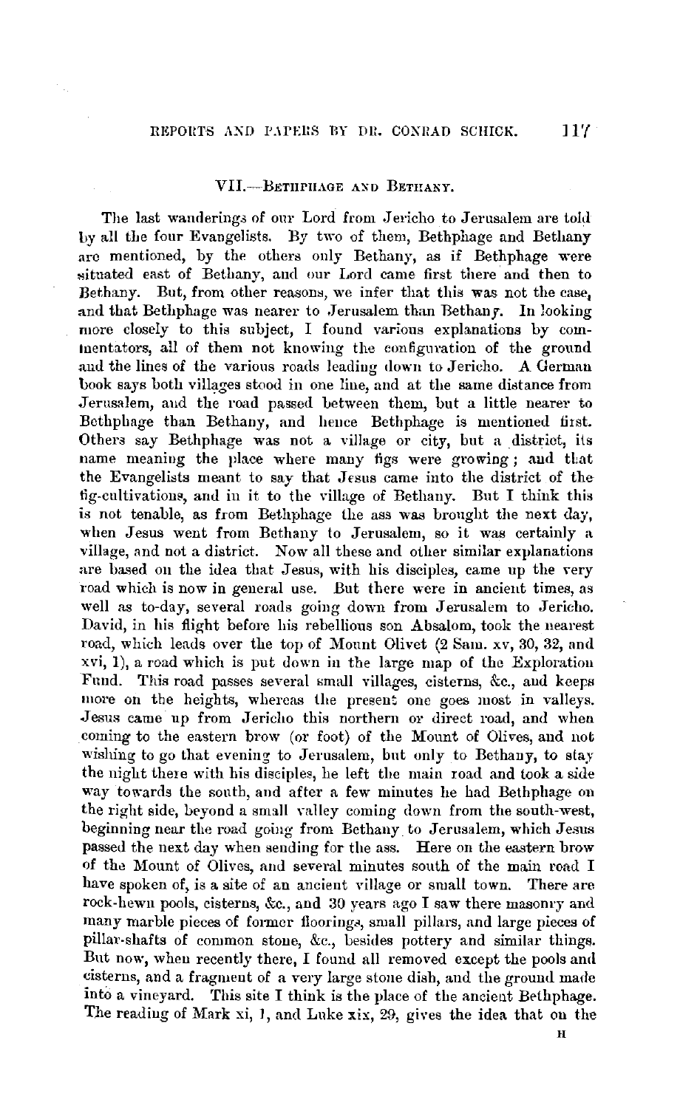## VIJ.-BETIIPIIAGE AXD BETHANY.

The last wandering3 of our Lord from Jericho to Jerusalem are told by all the four Evangelists. By two of them, Bethphage and Bethany are mentioned, by the others only Bethany, as if Bethphage were situated east of Bethany, and our Lord came first there and then to Bethany. But, from other reasons, we infer that this was not the case, and that Bethphage was nearer to Jerusalem than Bethany. In looking more closely to this subject, I found various explanations by comtuentators, all of them not knowing the configuration of the ground and the lines of the various roads leading down to Jericho. A German book says both villages stood in one line, and at the same distance from Jerusalem, aud the road passed between them, but a little nearer to Betbphage than Bethany, and heuce Bethphage is mentioned first. Others say Bethphage was not a village or city, but a district, its name meaning the place where many figs were growing; and that the Evangelists meant to say that Jesus came into the district of the fig-cultivations, and in it to the village of Bethany. But I think this is not tenable, as from Bethphage the ass was brought the next day, when Jesus went from Bethany to Jerusalem, so it was certainly a village, and not a district. Now all these and other similar explanations are based on the idea that Jesus, with his disciples, came up the very road which is now in general use. But there were in ancient times, as well as to-day, several roads going down from Jerusalem to Jericho. David, in his flight before his rebellious son Ahsalom, took the nearest road, which leads over the top of Mount Olivet (2 Sam. xv, 30, 32, and xvi, 1), a road which is put down iu the large map of the Exploration Fund. This road passes several small villages, cisterns, &c., and keeps more on the heights, whereas the present one goes most in valleys. .Jesus came up from Jericho this northern or direct road, and when coming to the eastern brow (or foot) of the Mount of *Olives,* and not wishing to go that evening to Jerusalem, but only to Bethany, to stay the night there with his disciples, he left the main road and took a side way towards the south, aud after a few minutes he had Bethphage on the right side, beyond a small valley coming down from the south-west, beginning near the road going from Bethany to Jerusalem, which Jesus passed the next day when sending for the ass. Here on the eastern brow of the Mount of Olives, and several minutes south of the main road I have spoken of, is a site of an ancient village or small town. There are rock-hewn pools, cisterns, &c., and  $30$  years ago I saw there masonry and many marble pieces of former floorings, small pillars, and large pieces of pillar-shafts of common stone, &c., besides pottery and similar things. But now, when recently there, I found all removed except the pools and cisterns, and a fragment of a very large stone dish, and the grouml made into a vineyard. This site I think is the place of the ancient Bethphage. The reading of Mark xi, J, and Luke xix, 29, gives the idea that on the

H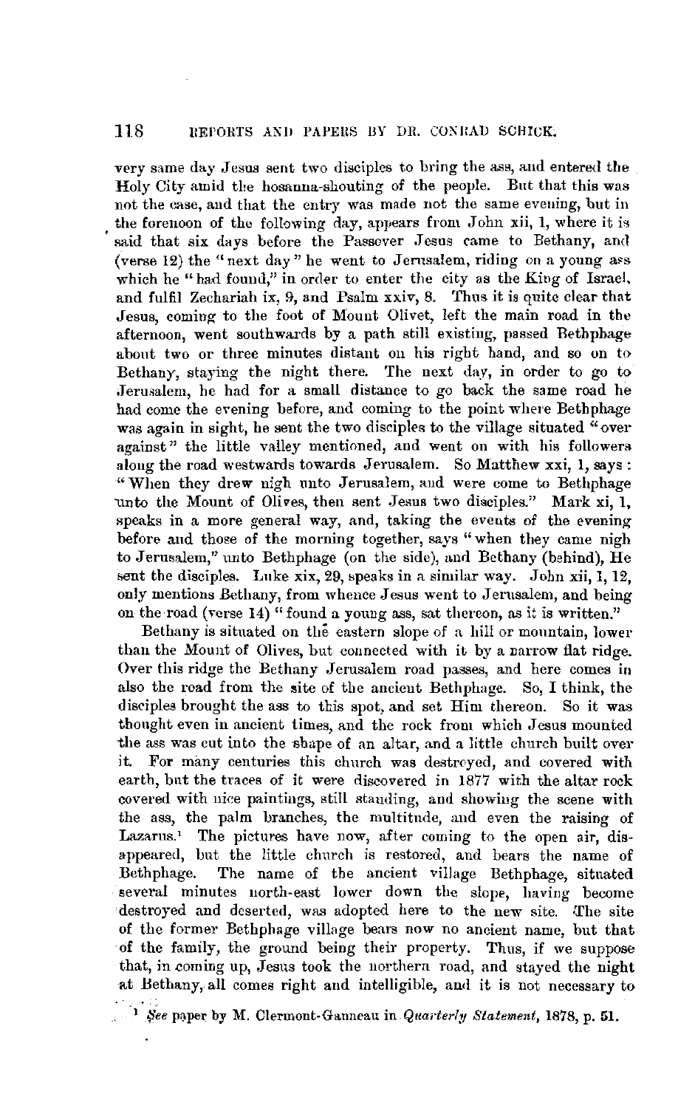very same day Jesus sent two disciples to bring the ass, and entered the Holy City amid the hosanna-shouting of the people. But that this was not the case, and that the entry was made not the same evening, but in the forenoon of the following day, appears from John xii, 1, where it is said that six days before the Passover Jesus came to Bethany, and (verse  $12$ ) the "next day" he went to Jerusalem, riding on a young ass which he "had found," in order to enter the city as the King of Israel, and fulfil Zechariah ix, 9, and Psalm xxiv, 8. Thus it is quite clear that Jesus, coming- to the foot of Mount Olivet, left the main road in the afternoon, went southwards by a path still existing, passed Bethphage about two or three minutes distant on his right hand, and so on to Bethany, staying the night there. The next day, in order to go to Jerusalem, he had for a small distance to go back the same road he had come the evening before, and coming to the point where Bethphage was again in sight, he sent the two disciples to the village situated "over against" the little valley mentioned, and went on with his followers along the road westwards towards Jerusalem. So Matthew xxi, 1, says: "When they drew nigh unto Jerusalem, and were come to Bethphage unto the Mount of Olives, then sent Jesus two disciples." Mark xi, 1, speaks in a more general way, and, taking the events of the evening before and those of the morning together, says "when they came nigh to Jerusalem," unto Bethphage (on the side), and Bethany (behind),  $He$ sent the disciples. Luke xix, 29, speaks in a similar way. John xii, 1, 12, only mentions Bethany, from whence Jesus went to Jerusalem, and being on the road (verse 14) "found **a** young ass, sat thereon, as it is written."

Bethany is situated on the eastern slope of a hill or mountain, lower than the Mount of Olives, but connected with it by a narrow flat ridge. Over this ridge the Bethany Jerusalem road passes, and here comes **in**  also the road from the site of the ancient Bethphage. So, I think, the disciples brought the ass to this spot, and set Him thereon. So it was thought even in ancient times, and the rock from which Jesus mounted the ass was cut into the shape of an altar, and a little church built over it. For many centuries this church was destroyed, and covered **with**  earth, bnt the traces of it were discovered in 1877 with the altar rock covered with nice paintings, still standing, and showing the scene with the ass, the palm branches, the multitude, and even the raising of Lazarus.' The pictures have now, after coming to the open air, disappeared, but the little church is restored, and bears the name of Bethphage. The name of the ancient village Bethphage, situated several minutes north-east lower down the slope, having become destroyed and deserted, was adopted here to the new site. The site of the former Bethphage village bears now no ancient name, but that **of** the family, the ground being their property. Thus, if we suppose that, in coming up, Jesus took the northern road, and stayed the night at Bethany, all comes right and intelligible, and it is not necessary to

<sup>&</sup>lt;sup>1</sup>/<sub>2</sub> See paper by M. Clermont-Ganneau in *Quarterly Statement*, 1878, p. 51.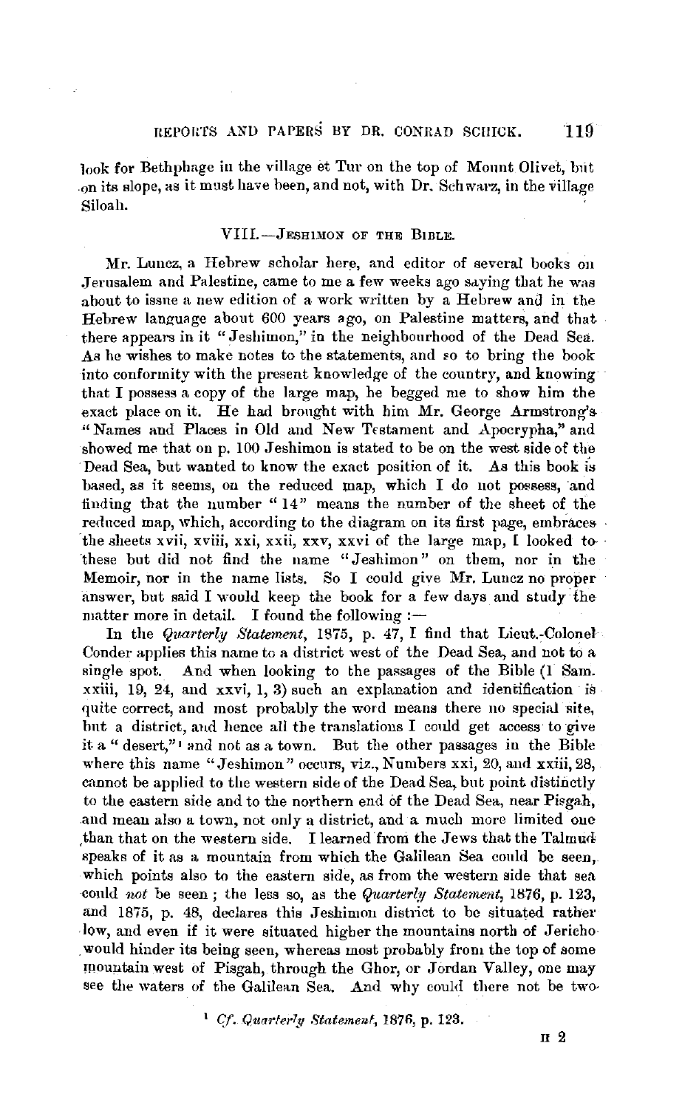look for Bethphage in the village et Tur on the top of Mount Olivet, but on its slope, as it must have been, and not, with Dr. Schwarz, in the village Siloah.

## VIII.-JESHIMON OF THE BIBLE.

**Mr.** Luncz, a Hebrew scholar here, and editor of several books on Jerusalem and Palestine, came to me a few weeks ago saving that he was about to issue a new edition of a work written by a Hebrew and in the Hebrew language about 600 years ago, on Palestine matters, and that there appears in it "Jeshimon," in the neighbourhood of the Dead Sea. As he wishes to make notes to the statements, and so to bring the book into conformity with the present knowledge of the country, and knowing that I possess a copy of the large map, he begged me to show him the exact place on it. He had brought with him Mr, George Armstrong's "Names and Places in Old and New Testament and Apocrypha," and showed me that on p. 100 Jeshimon is stated to be on the west side of the Dead Sea, but wanted to know the exact position of it. As this book is based, as it seems, on the reduced map, which I do not possess, and finding that the number "14" means the number of the sheet of the reduced map, which, according to the diagram on its first page, embraces the sheets xvii, xviii, xxi, xxii, xxv, xxvi of the large map, I looked tothese but did not find the name "Jeshimon" on them, nor in the Memoir, nor in the name lists. So I could give Mr. Luncz no proper answer, but said I would keep the book for a few days and study· the matter more in detail. I found the following :-

In the *Quarterly Statement*, 1875, p. 47, I find that Lieut.-Colonel Conder applies this name to a district west of the Dead Sea, and not to a single spot. And when looking to the passages of the Bible (1 Sam. xxiii, 19, 24, and xxvi, 1, 3) such an explanation and identification is quite correct, and most probably the word means there no special site, but a district, aud hence all the translations I conld get access to give it a " desert,"<sup>1</sup> and not as a town. But the other passages in the Bible where this name "Jeshimon" occurs, viz., Numbers xxi, 20, and xxiii, 28, cannot be applied to the western side of the Dead Sea, but point distinctly to the eastern side and to the northern end of the Dead Sea, near Pisgah, and mean also a town, not only a district, and a much more limited one ,than that on the western side. I learned froni the Jews that the Talmud speaks of it as a mountain from which the Galilean Sea could be seen, which points also to the eastern side, as from the western side that sea conld *not* be seen ; the less so, as the *Quarterly Statement,* 1876, p. 123, and 1875, p. 48, declares this Jeshimon district to be situated rather -low, and even if it were situated higher the mountains north of Jericho . would hinder its being seen, whereas most probably from the top of some mountain west of Pisgah, through the Ghor, or Jordan Valley, one may see the waters of the Galilean Sea. And why could there not be two-

<sup>1</sup>*Cf. Qturrferly* Statemenf, 1870, p. 123.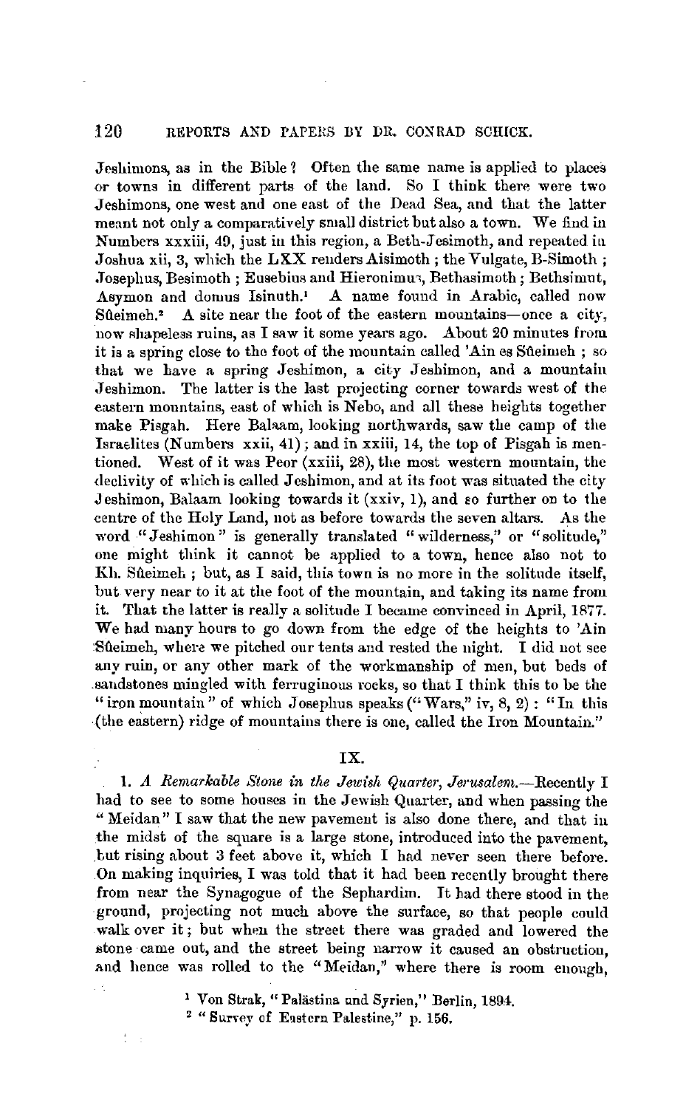Jeshimons, as in the Bible ? Often the same name is applied to places or towns in different parts of the land. So I think them were two Jeshimons, one west and one east of the Dead Sea, and that the latter meant not only a comparatively small district but also a town. We find in Numbers xxxiii, 49, just in this region, a Beth-Jesimoth, and repeated in Joshua xii, 3, which the LXX reuders Aisimoth; the Vulgate, B-Simoth; Josephus, Besimoth ; Eusebius and Hieronimuz, Bethasimoth; Bethsimut, Asymon and domus Isinuth.<sup>1</sup> A name found in Arabic, called now Sueimeh.<sup>2</sup> A site near the foot of the eastern mountains-once a city, now Ahapeless ruins, as I saw it some years ago. About 20 minutes from it is a spring close to the foot of the mountain called 'Aines Sueimeh; so that we have a spring Jeshimon, a city Jeshimon, and a mountain Jeshimon. The latter is the last projecting corner towards west of the eastern mountains, east of which is Nebo, and all these heights together make Pisgah. Here Balaam, looking northwards, saw the camp of the Israelites (Numbers  $xxii$ , 41); and in  $xxiii$ , 14, the top of Pisgah is mentioned. West of it was Peor (xxiii, 28), the most western mountain, the declivity of which is called Jeshimon, and at its foot was situated the city Jeshimon, Balaam looking towards it (xxiv, 1), and so further on to the centre of the Holy Land, not as before towards the seven altars. As the word "Jeshimon" is generally translated "wilderness," or "solitude," one might think it cannot he applied to a town, hence also not to Kh. Sueimeh; but, as I said, this town is no more in the solitude itself, but very near to it at the foot of the mountain, and taking its name from it. That the latter is really a solitude I became convinced in April, 1877. We had many hours to go down from the edge of the heights to 'Ain Sueimeh, where we pitched our tents and rested the night. I did not see any ruin, or any other mark of the workmanship of men, but beds of .sandstones mingled with ferruginous rocks, so that I think this to be the " iron mountain" of which Josephus speaks ("Wars," iv, 8, 2): "In this (the eastern) ridge of mountains there is one, called the Iron Mountain."

# **IX.**

1. *A Remarkable Stone in the Jewish Quarter, Jerusalem.*--Recently I had to see to some houses in the Jewish Quarter, and when passing the " Meidan" I saw that the new pavement is also done there, and that in the midst of the square is a large stone, introduced into the pavement, .but rising about 3 feet above it, which I had never seen there before. On making inquiries, I was told that it had been recently brought there from near the Synagogue of the Sephardim. It had there stood in the ground, projecting not much above the surface, so that people could walk over it; but when the street there was graded and lowered the stone came out, and the street being narrow it caused an obstruction, and hence was rolled to the "Meidan," where there is room enough,

<sup>1</sup> Von Strak, "Palästina und Syrien," Berlin, 1894.

<sup>&</sup>lt;sup>2</sup> "Survey of Eastern Palestine," p. 156.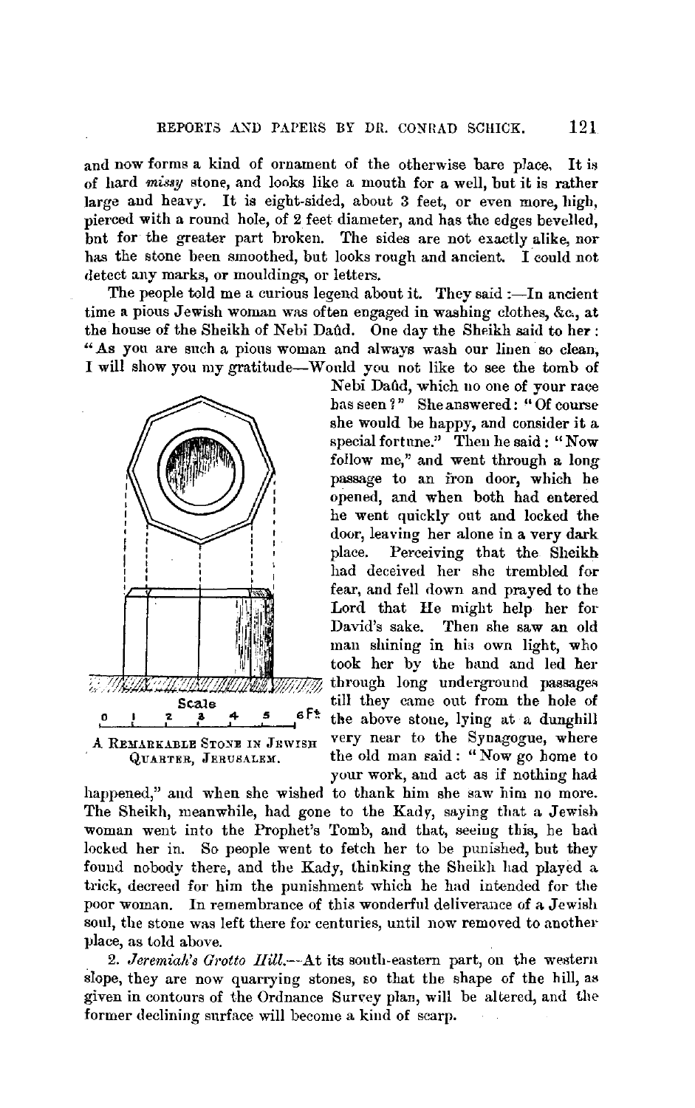and now forms a kind of ornament of the otherwise bare place, It is of hard *missy* stone, and looks like a mouth for a well, but it is rather large and heavy. It is eight-sided, about 3 feet, or even more, high, nierced with a round hole, of 2 feet diameter, and has the edges bevelled, bnt for the greater part broken. The sides are not exactly alike, nor has the stone been smoothed, but looks rough and ancient. I could not detect any marks, or mouldings, or letters.

The people told me a curious legend about it. They said  $:$ —In ancient time a pious Jewish woman was often engaged in washing clothes, &c., at the house of the Sheikh of Nebi Daftd. One day the Sheikh said to **her:**  "As you are such a pious woman and always wash our linen so clean, I will show you my gratitude-Would you not like to see the tomb of



Nebi Daûd, which no one of your race has seen ?" She answered: "Of course she would be happy, and consider it a special fortune." Then he said : "Now follow me," and went through a long passage to an fron door, which he opened, and when both had entered he went quickly out and locked the door, leaving her alone in a very dark place. Perceiving that the Sheikh had deceived her she trembled for fear, and fell down and prayed to the Lord that He might help her for David's sake. Then she saw an old man shining in his own light, who took her by the hand and led her through long underground passages till they came out from the hole of Scale till they came out from the hole of<br> $\frac{2}{5}$   $\frac{4}{5}$  f. the above stone, lying at a dunghill A REMARKABLE STONE IN JEWISH very near to the Synagogue, where QUARTER, JERUSALEM. the old man said: "Now go home to your work, and act as if nothing had

happened," and when she wished to thank him she saw him no more. The Sheikh, meanwhile, had gone to the Kady, saying that a Jewish woman went into the Prophet's Tomb, and that, seeing this, he bad locked her in. So people went to fetch her to be punished, but they found nobody there, and the Kady, thinking the Sheikh had played a trick, decreed for him the punishment which he had intended for the poor woman. In remembrance of this wonderful deliverance of a Jewish soul, the stone was left there for centuries, until now removed to another place, as told above.

2. *Jeremialt's Grotto llill.--At* its south-eastern part, on the western slope, they are now quarrying stones, so that the shape of the hill, as given in contours of the Ordnance Survey plan, will be altered, and the former declining surface will become a kind of scarp.